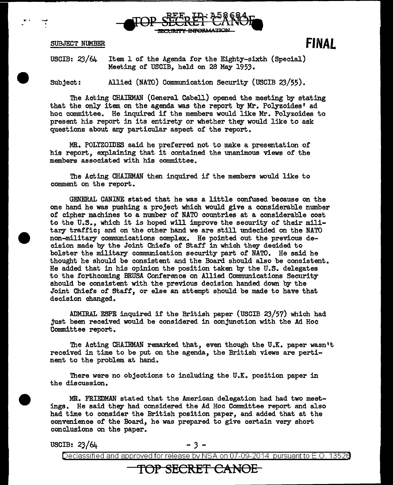

SUBJECT NUMBER

**FINAL** 

USCIB: 23/64 Item 1 of the Agenda for the Eighty-sixth (Special) Meeting of USCIB, held on 2S May 1953.

Subject: Allied (NATO) Communication Security (USCIB 23/55).

The Acting CHAIRMAN (General Cabell) opened the meeting by stating that the only item on the agenda was the report by Mr. Polyzoides' ad hoc committee. He inquired if the members would like Mr. Polyzoides to present his report in its entirety or whether they would like to ask questions about any particular aspect of the report.

MR. POLYZOIDES said he preferred not to make a presentation of his report, explaining that it contained the unanimous views of the members associated with his committee.

The Acting CHAIRMAN then inquired if the members would like to comment on the report.

GENERAL CANINE stated that he was a little confused because on the one hand he was pushing a project which would give a considerable number of cipher machines to a number of NATO countries at a considerable cost to the U.S., which it is hoped will improve the security of their military traffic; and on the other hand we are still undecided on the NATO non-military conmrunications complex. He pointed out the previous decision made by the Joint Chiefs of Staff in which they decided to bolster the military communication security part of NATO. He said he thought he should be consistent and the Board should also be consistent. He added that in his opinion the position taken by the U.S. delegates to the forthcoming BRUSA Conference on Allied Communications Security should be consistent with the previous decision handed down by the Joint Chiefs of Staff, or else an attempt should be made to have that decision changed.

.ADMIRAL ESPE inquired if the British paper (USCIB 23/57) which had just been received would be considered in conjunction with the Ad Hoc Committee report.

The Acting CHAIRMAN remarked that, even though the U.K. paper wasn't received in time to be put on the agenda, the British views are pertinent to the problem at hand.

There were no objections to including the  $U_xK_x$  position paper in the discussion.

MR. FRIEDMAN stated that the American delegation had had two meetings. He said they had considered the Ad Hoc Committee report and also had time to consider the British position paper, and added that at the convenience of the Board, he was prepared to give certain very short conclusions on the paper.

USCIB:  $23/64$  - 3 -

Declassified and approved for release by NSA on 07-09-2014 pursuant to E.O. 13526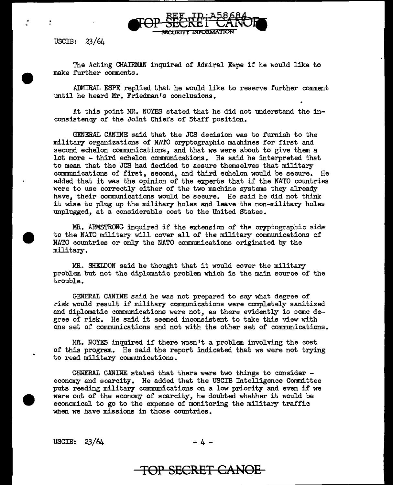The Acting CHAIRMAN inquired of Admiral Espe if he would like to make further comments.

**SECURITY INFORMATION** 

ADMIRAL ESPE replied that he would like to reserve further comment until he heard Mr. Friedman's conclusions.

At this point MR. NOYES stated that he did not understand the inconsistency of the Joint Chiefs of Staff position.

GENERAL CANINE said that the JCS decision was to furnish to the military organizations of NATO cryptographic machines for first and second echelon communications, and that we were about to give them a lot more - third echelon communications. He said he interpreted that to mean that the JCS had decided to assure themselves that military communications of first, second, and third echelon would be secure. He added that it was the opinion of the experts that if the NATO countries were to use correctly either of the two machine systems they already have, their communications would be secure. He said he did not think it wise to plug up the military holes and leave the non-military holes unplugged, at a considerable cost to the United States.

MR. ARMSTRONG inquired if the extension of the cryptographic aids to the NATO military will cover all of the military communications of NATO countries or only the NATO communications originated by the military.

MR. SHELDON said he thought that it would cover the military problem but not the diplomatic problem which is the main source of the trouble.

GENERAL CANINE said he was not prepared to say what degree of risk would result if military communications were completely sanitized and diplomatic communications were not, as there evidently is some degree of risk. He said it seemed inconsistent to take this view with one set of communications and not with the other set of communications.

MR. NOYES inquired if there wasn't a problem involving the cost of this program. He said the report indicated that we were not trying to read military communications.

GENERAL CANINE stated that there were two things to consider - economy and scarcity. He added that the USCIB Intelligence Committee puts reading military communications on a low priority and even if we were out of the economy of scarcity, he doubted whether it would be economical to go to the expense of monitoring the military traffic when we have missions in those countries.

USCIB:  $23/64$  -4-

$$
-4 -
$$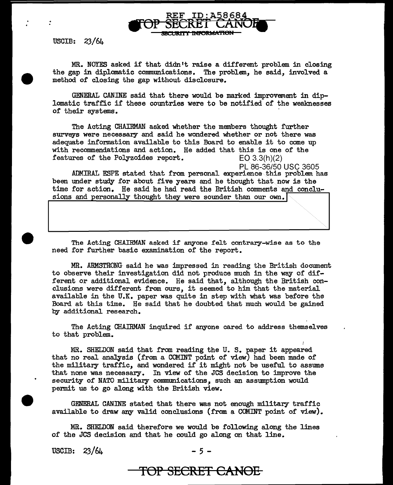MR. NOYES asked if that didn't raise a different problem in closing the gap in diplomatic communications. The problem, he said, involved a method of closing the gap without disclosure.

TOP SECRET CANOH

I<del>orwati</del>on

GENERAL CANINE said that there would be marked improvement in diplomatic traffic if these countries were to be notified of the weaknesses of their systems.

The Acting CHAIRMAN asked whether the members thought further surveys were necessary and said he wondered whether or not there was adequate information available to this Board to enable it to come up with recommendations and action. He added that this is one of the features of the Polyzoides report.  $EO 3.3(h)(2)$ features of the Polyzoides report.

PL 86-36/50 USC 3605

.ADMIRAL ESPE stated that from personal experience this problem has been under study for about five years and he thought that now is the time for action. He said he had read the British comments and conclusions and personally thought they were sounder than our own.

The Acting CHAIRMAN asked if anyone felt contrary-wise as to the need for further basic examination of the report.

MR. ARMSTRONG said he was impressed in reading the British document to observe their investigation did not produce much in the way of different or additional evidence. He said that, although the British conclusions were different from ours, it seemed to him that the material available in the U.K. paper was quite in step with what was before the Board at this time. He said that he doubted that much would be gained by additional research.

The Acting CHAIRMAN inquired if anyone cared to address themselves to that problem.

MR. SHELDON said that from reading the U. S. paper it appeared that no real analysis (from a COMINT point of view) had been made of the military traffic, and wondered if it might not be useful to assume that none was necessary. In view of the JCS decision to improve the security of NATO military communications, such an assumption would permit us to go along with the British view.

GENERAL CANINE stated that there was not enough military traffic available to draw any valid conclusions (from a COMINT point of view).

MR. SHELDON said therefore we would be following along the lines of the JCS decision and that he could go along on that line.

USCIB:  $23/64$  - 5 -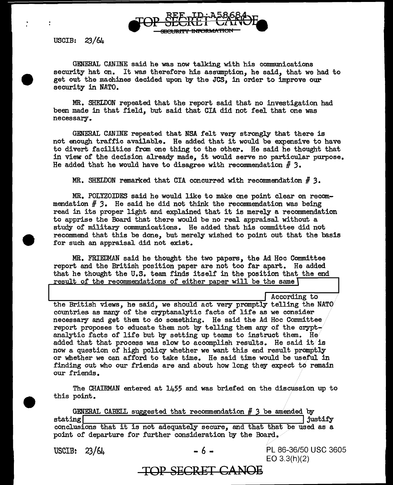

ż

GENERAL CANINE said he was now talking with his communications security hat on. It was therefore his assumption, he said, that we had to get out the machines decided upon by the JCS, in order to improve our security in NATO.

MR. SHELDON repeated that the report said that no investigation had been made in that field, but said that GIA did not feel that one was necessary ..

GENERAL CANINE repeated that NSA felt very strongly that there is not enough traffic available. He added that it would be expensive to have to divert facilities from one thing to the other. He said he thought that in view: of the decision already made, it would serve no particular purpose. He added that he would have to disagree with recommendation # *3.* 

MR. SHELDON remarked that CIA concurred with recommendation  $#$  3.

MR. POLYZOIDES said he would like to make one point clear on recommendation H *3.* He said he did not think the reconmendation was being read in its proper light and explained that it is merely a recommendation to apprise the Board that there would be no real appraisal without a study of military communications. He added that his committee did not recommend that this be done, but merely wished to point out that the basis for such an appraisal did not exist.

MR. FRIEDMAN said he thought the two papers, the Ad Hoc Committee report and the British position paper are not too far apart. He added that he thought the U.S. team finds itself in the position that the end result of the recommendations of either paper will be the same  $\lceil$ 

According to

the British views, he said, we should act very promptly telling the NATO countries as many of the cryptanalytic facts or life as we consider necessary and get them to do something. He said the Ad Hoc Committee report proposes to educate them not by telling them any of the crypt- $\overline{\phantom{x}}$ analytic facts of life but by setting up teams to instruct them. He added that that process was slow to accomplish results. He said it is now a question of high policy whether we want this end result promptly or whether we can afford to take time. He said time would be useful in finding out who our friends are and about how long they expect to remain our friends.

The CHAIRMAN entered at 1455 and was briefed on the discussion up to this point.

GENERAL CABELL suggested that recommendation # 3 be amended by<br>justify  $\frac{1}{\sqrt{3}}$  is tating  $\frac{1}{\sqrt{3}}$  justify conclusions that it is not adequately secure, and that that be used as a point of departure for further consideration by the Board.

USCIB:  $23/64$  - 6 - PL 86-36/50 USC 3605 EO 3.3(h)(2)

**TOP SECRET GL\:NOE**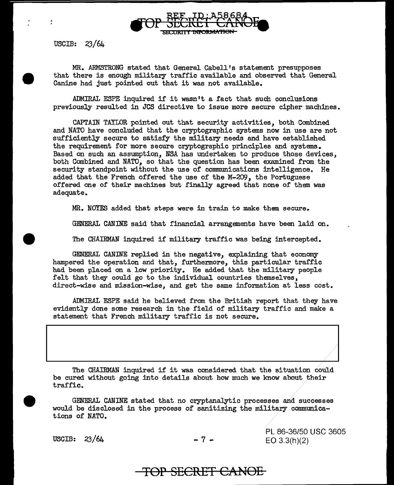

MR. ARMSTRONG stated that General Cabell's statement presupposes that there is enough military traffic available and observed that General Canine had just pointed out that it was not available.

ADMIRAL ESPE inquired if it wasn't a fact that such conclusions previously resulted in JCS directive to issue more secure cipher machines.

CAPTAIN TAYLOR pointed out that security activities, both Combined and NATO have concluded that the cryptographic systems now in use are not sufficiently secure to satisfy the military needs and have established the requirement for more secure cryptographic principles and systems. Based on such an assumption, NSA has undertaken to produce those devices, both Combined and NATO, so that the question has been examined from the security standpoint without the use of communications intelligence. He added that the French offered the use of the M-209, the Portuguese offered one of their machines but finally agreed that none of them was adequate.

MR. NOYES added that steps were in train to make them secure.

GENERAL CANINE said that financial arrangements have been laid on.

The CHAIRMAN inquired if military traffic was being intercepted.

GENERAL CANINE replied in the negative, explaining that economy hampered the operation and that, furthermore, this particular traffic had been placed on a low priority. He added that the military people felt that they could go to the individual countries themselves, direct-wise and mission-wise, and get the same information at less cost.

ADMIRAL ESPE said he believed from the British report that they have evidently done some research in the field of military traffic and make a statement that French military traffic is not secure.

The CHAIRMAN inquired if it was considered that the situation could be cured without going into details about how much we know about their traffic.

GENERAL CANINE stated that no cryptanalytic processes and successes would be disclosed in the process of sanitizing the military communications of NATO.

USCIB:  $23/64$  - 7 -

PL 86-36/50 USC 3605 EO 3.3(h)(2)

**TOP SECRET CANOE**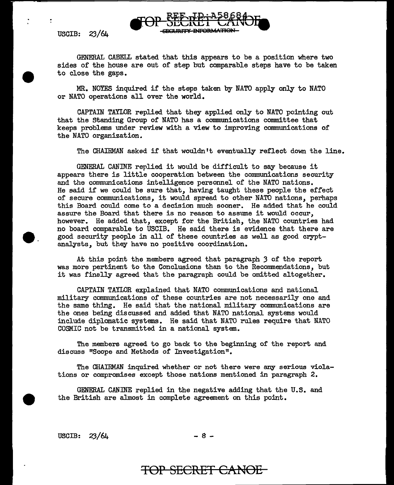GENERAL CABELL stated that this appears to be a position where two sides of the house are out of step but comparable steps have to be taken to close the gaps.

MR. NOYES inquired if the steps taken by NATO apply only to NATO or NATO operations all over the world.

CAPTAIN TAYLOR replied that they applied only to NATO pointing out that the Standing Group of NATO has a communications committee that keeps problems under review with a view to improving connnunications of the NATO organization.

The CHAIRMAN asked if that wouldn't eventually reflect down the line.

GENERAL CANINE replied it would be difficult to say because it appears there is little cooperation between the communications security and the communications intelligence personnel of the NATO nations. He said if we could be sure that, having taught these people the effect of secure communications, it would spread to other NATO nations, perhaps this Board could come to a decision much sooner. He added that he could assure the Board that there is no reason to assume it would occur, however. He added that, except for the British, the NATO countries had no board comparable to USCIB. He said there is evidence that there are good security people in all of these countries as well as good cryptanalysts, but they have no positive coordination.

At this point the members agreed that paragraph 3 of the report was more pertinent to the Conclusions than to the Recommendations, but it was finally agreed that the paragraph could be omitted altogether.

CAPTAIN TAYLOR explained that NATO communications and national military communications of these countries are not necessarily one and the same thing. He said that the national military communications are the ones being discussed and added that NATO national systems would include diplomatic systems. He said that NATO rules require that NATO COSMIC not be transmitted in a national system.

The members agreed to go back to the beginning of the report and discuss "Scope and Methods of Investigation".

The CHAIRMAN inquired whether or not there were any serious violations or compromises except those nations mentioned in paragraph 2.

GENERAL CANINE replied in the negative adding that the U.S. and the British are almost in complete agreement on this point.

 $\text{USCIB:} \quad 23/64$  - 8 -

**e.**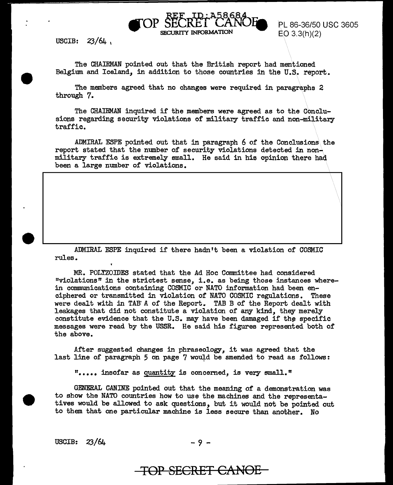PL 86-36/50 USC 3605  $E$ O 3.3(h)(2)

USCIB:  $23/64$ 

The CHAIRMAN pointed out that the British report had mentioned Belgium and Iceland, in addition to those countries in the U.S. report.

SECURITY INFORMATION

The members agreed that no changes were required in paragraphs 2 through 7.

The CHAIRMAN inquired if the members were agreed as to the Conclusions regarding security violations of military traffic and non-military traffic.

ADMIRAL ESPE pointed out that in paragraph 6 of the Conclusions\ the report stated that the number of security violations detected in nonmilitary traffic is extremely small. He said in his opinion there had. been a large number of violations.

ADMIRAL ESPE inquired if there hadn't been a violation of COSMIC rules.

MR. POLYZOIDES stated that the Ad Hoc Committee had considered "violations" in the strictest sense, i.e. as being those instances wherein communications containing COSMIC or NATO information had been enciphered or transmitted in violation of NATO COSMIC regulations. These were dealt with in TAB'A of the Report. TABB of the Report dealt with leakages that did not constitute a violation of any kind, they merely constitute evidence that the U.S. may have been damaged if the specific messages were read by the USSR. He said his figures represented both of the above.

After suggested changes in phraseology, it was agreed that the last line of paragraph  $5$  on page  $7$  would be amended to read as follows:

"••••• insofar as quantity is concerned, is vecy small."

GENERAL CANINE pointed out that the meaning of a demonstration was to show the NATO countries how to use the machines and the representatives would be allowed to ask questions, but it would not be pointed out to them that one particular machine is less secure than another. No

USCIB: 23/64 - 9 -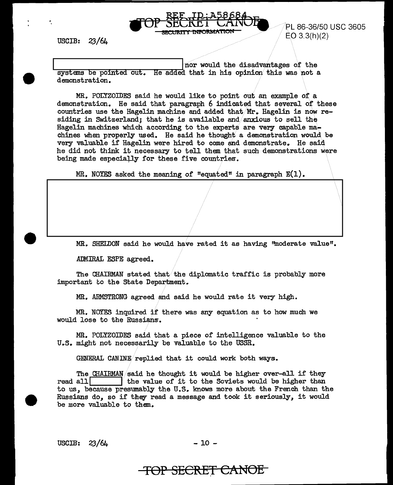

÷,

PL 86-36/50 USC 3605  $EO 3.3(h)(2)$ 

 $\mathcal{F}$ 

nor would the disadvantages of the  $s$ ystems be pointed out. He added that in his opinion this was not a demonstration.

MR. POLYZOIDES said he would like to point out an example of a demonstration. He said that paragraph 6 indicated that several of these countries use the Hagelin machine and added that. Mr. Hagelin is now residing in Switzerland; that he is available and/anxious to sell the Hagelin machines which according to the experts are very capable machines when properly used. He said he thought a demonstration would be very valuable if Hagelin were hired to come and demonstrate. He said he did not think it necessary to tell them that such demonstrations were being made especially for these five countries.

MR. NOYES asked the meaning of "equated" in paragraph E(l).

MR. SHELDON said he would have rated it as having ''moderate value".

ADMIRAL ESPE agreed.

The CHAIRMAN stated that the diplomatic traffic is probably more important to the State Department.

MR. ARMSTRONG agreed and said he would rate it very high.

MR. NOYES inquired if there was any equation as to how much we would lose to the Russians-.

MR. POLYZOIDES said that a piece of intelligence valuable to the U.S. might not necessarily be valuable to the USSR.

GENERAL CANINE/replied that it could work both ways.

The CHAIRMAN said he thought it would be higher over-all if they read all  $\boxed{\phantom{\text{m}}\phantom{\text{m}}\phantom{\text{m}}\,}$  the value of it to the Soviets would be higher than the value of it to the Soviets would be higher than to us, because presumably the U.S. knows more about the French than the Russians do, so if they read a message and took it seriously, it would be more valuable to them.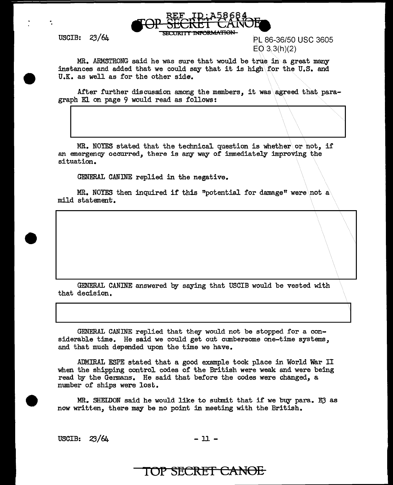

USCIB: 23/64 SECURITY INFORMATION PL 86-36/50 USC 3605  $EO 3.3(h)(2)$ 

 $\|\setminus\|$ 

MR. ARMSTRONG said he was sure that would be true in a great many instances and added that we could say that it is high\for the U.S. and U.K. as well as for the other side.

After further discussion among the members, it was agreed that paragraph El on page 9 would read as follows:

MR. NOYES stated that the technical question is whether or not, if an emergency occurred, there is any way of immediately improving the situation.

GENERAL CANINE replied in the negative.

MR. NOYES then inquired if this "potential for damage" were not a mild statement.

GENERAL CANINE answered by saying that USCIB would be vested with that decision.

GENERAL CANINE replied that they would not be stopped for a considerable time. He said we could get out cumbersome one-time systems, and that much depended upon the time we have.

ADMIRAL ESPE stated that a good example took place in World War II when the shipping control codes of the British were weak and were being read by the Germans. He said that before the codes were changed, a number of ships were lost.

 $MR_*$  SHELDON said he would like to submit that if we buy para. E3 as now written, there may be no point in meeting with the British.

USCIB:  $23/64$  - 11 -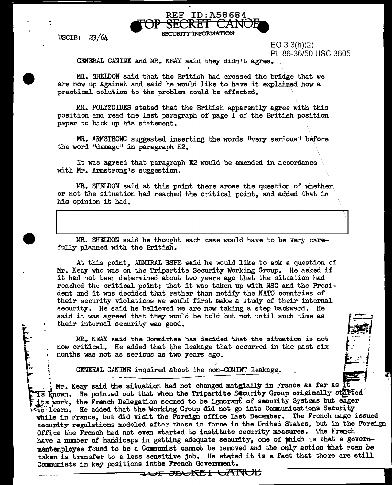EO 3.3(h)(2) Pt 86-36/50 USC 3605

> *1 .:*

GENERAL CANINE and MR. KEAY said they didn't agree.

MR. SHELDON said that the British had crossed the bridge that we are now up against and said he would like to have it explained how a practical solution to the problem could be effected.

REF ID:A58684<br>
<del>FOP SECRET CANOE</del>

MR. PoLyzomES stated that the British apparently agree with this position and read the last paragraph of page 1 of the British position paper to back up his statement.

MR. ARMSTRONG suggested inserting the words "very serious" before the word "damage" in paragraph E2.

It was agreed that paragraph E2 would be amended in accordance with Mr. Armstrong's suggestion.

MR. SHELDON said at this point there arose the question of whether or not the situation had reached the critical point, and added that in his opinion it had.

MR. SHELDON said he thought each case would have to be very carefully planned with the British.

At this point, ADMIRAL ESPE said he would like to ask a question of Mr. Keay who was on the Tripartite Security Working Group. He asked if it had not been determined about two years ago that the situation had reached the critical point; that it was taken up with NSC and the President and it was decided that rather than notify the NATO countries of their security violations we would first make a study of their internal security. He said he believed we are now taking a step backward. He said it was agreed that they would be told but not until such time as their internal security was good. t. and monical booming, as good.

MR. KEAY said the Committee has decided that the situation is not now critical. He added that the leakage that occurred in the past six months was not as serious as two years ago.<br>GENERAL CANINE inquired about the non-COMI now critical. He added that the leakage that occurred in the past  $six$ months was not as serious as two years ago.

GENERAL CANINE inquired about the non-COMINT leakage.<br>
INT. Keay said the situation had not changed matgially in France as far as it.<br>
In the point out that when the Tripartite Security Group originally started its work, the Franch Delegation seemed to be ignorant of seuurity Systems but eager  $25$ . learn. He added that the Working Group did not go into Communications Security while in France, but did visit the Foreign office last December. The French mage issued security regulations modeled after those in force in the United States, but in the Foreign Office the French had not even started to institute security measures. The French have a number of handicaps in getting adequate security, one of which is that a governmentemployee found to be a Communist cannot be removed and the only action that scan be taken is transfer to a less sensitive job. He stated it is a fact that there are still Communists in key positions inthe French Government.

<del>1 UF JBUKËF UANOË</del>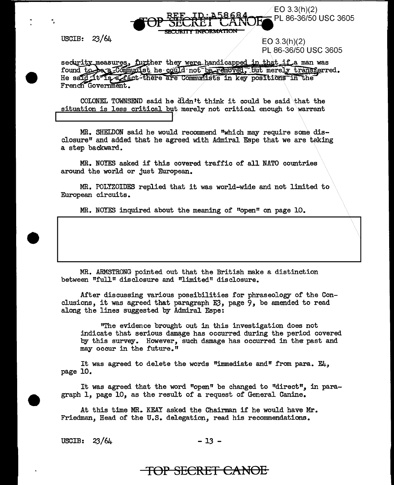$\rm \degree$ EO 3.3(h)(2)<br><del>.</del> PL 86-36/50 USC 3605

USCIB: 23/64

·.

EO 3.3(h)(2) PL 86-36/50 USC 3605

security measures, further they were handicapped in that if a man was found to be a Communist he could not be removed, but merely transferred. He said it is a fact there are Communists in key positions in the French Government.

SECREI CAN **SECURITY INFORMATION** 

COLONEL TOWNSEND said he  $diam$ <sup>t</sup>t think it could be said that the situation is less critical but.merely not critical enough to warrant

MR. SHELDON said he would recommend "which may require some disclosure" and added that he agreed with Admiral Espe that we are taking a step backward.

MR. NOYES asked if this covered traffic of all NATO countries around the world or just European.

MR. POLYZOIDES replied that it was world-wide and not limited to European circuits.

MR. NOYES inquired about the meaning of "open" on page 10.

MR. ARMSTRONG pointed out that the British make a distinction between "full" disclosure and "limited" disclosure.

After discussing various possibilities for phraseology of the Conclusions, it was agreed that paragraph E3, page 9, be amended to read along the lines suggested by Admiral Espe:

"The evidence brought out in this investigation does not indicate that serious damage has occurred during the period covered by this survey. However, such damage has occurred in the past and may occur in the future."

It was agreed to delete the words "immediate and" from para. E4, page 10.

It was agreed that the word "open" be changed to "direct", in paragraph 1, page 10, as the result of a request of General Canine.

At this time MR. KEAY asked the Chairman if he would have Mr. Friedman, Head of the U.S. delegation, read his recommendations.

 $USCIB: 23/64$  - 13 -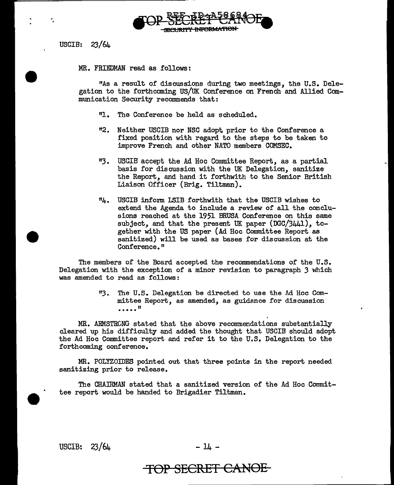

MR. FRIEDMAN read as follows:

"As a result of discussions during two meetings, the U.S. Delegation to the forthcoming US/UK Conference on French and Allied Communication Security recommends that:

- "l. The Conference be held as scheduled.
- "2. Neither USCIB nor NSC adopt. prior to the Conference a fixed position with regard to the steps to be taken to improve French and other NATO members COMSEC.
- 113. USCIB accept the Ad Hoc Connnittee Report, as a partial basis for discussion with the UK Delegation, sanitize the Report, and hand it forthwith to the Senior British Liaison Officer (Brig. Tiltman).
- "4. USCIB inform LSIB forthwith that the USCIB wishes to extend the Agenda to include a review of all the conclusions reached at the 1951 BRUSA Conference on this same subject, and that the present UK paper (DGC/3441), together with the US paper (Ad Hoc Committee Report as sanitized) will be used as bases for discussion at the Conference."

The members of the Board accepted the recommendations of the U.S. Delegation with the exception of a minor revision to paragraph *3* which was amended to read as follows:

> *"3.* The U.S. Delegation be directed to use the Ad Hoc Committee Report, as amended, as guidance for discussion ....."

MR. ARMSTRONG stated that the above recommendations substantially cleared up his difficulty and added the thought that USCIB should adopt the Ad Hoc Committee report and refer it to the U.S. Delegation to the forthcoming conference.

MR. POLYZOIDES pointed out that three points in the report needed sanitizing prior to release.

The CHAIRMAN stated that a sanitized version of the Ad Hoc Committee report would be handed to Brigadier Tiltman.

USCIB:  $23/64$  -  $14$  -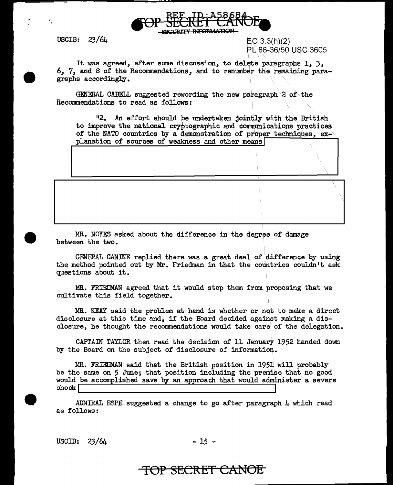

÷.

 $EO 3.3(h)(2)$ PL 86-36/50 USC 3605

 $\langle\lambda\rangle$ 

\ ...... \ .....

It was agreed, after some discussion, to delete paragraphs 1, 3, 6, 7, and 8 of the Recommendations, and to renumber the remaining paragraphs accordingly.

GENERAL CABELL suggested rewording the new paragraph\2 of the Recommendations to read as follows:

<sup>11</sup>2. An effort should be undertaken jointly with the British to improve the national cryptographic and communications practices of the NATO countries by a demonstration of proper techniques, explanation of sources of weakness and other means

MR. NOYES asked about the difference in the degree of damage between the two.

GENERAL CANINE replied there was a great deal of difference by using the method pointed out by Mr. Friedman in that the countries couldn't ask questions about it.

MR. FRIEDMAN agreed that it would stop them from proposing that we cultivate this field together.

MR. KEAY said the problem at hand is whether or not to make a direct disclosure at this time and, if the Board decided against making a disclosure, he thought the recommendations would take care of the delegation.

CAPTAIN TAYLOR then read the decision of 11 January 1952 handed down by the Board on the subject of disclosure of information.

MR. FRIEDMAN said that the British position in 1951 will probably be the same on 5 June; that position including the premise that no good would be accomplished save by an approach that would administer a severe shock [I III III] **In the complete state** of the special share measured

ADMIRAL ESPE suggested a change to go after paragraph 4 which read as follows:

 $USCIB: 23/64$  - 15 -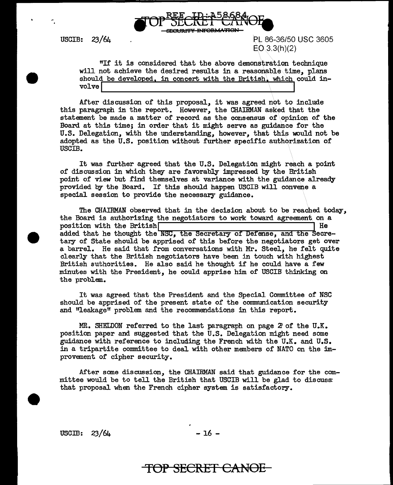

PL 86-36/50 USC 3605  $EO(3.3(h)(2))$ 

"If it is considered that the above demonstration technique will not achieve the desired results in a reasonable.time, plans should be developed, in concert with the British, which could involve  $\left[\begin{array}{ccc} \text{volume} & \text{m} & \text{m} & \text{m} & \text{m} & \text{m} & \text{m} & \text{m} & \text{m} & \text{m} & \text{m} & \text{m} & \text{m} & \text{m} & \text{m} & \text{m} & \text{m} & \text{m} & \text{m} & \text{m} & \text{m} & \text{m} & \text{m} & \text{m} & \text{m} & \text{m} & \text{m} & \text{m} & \text{m} & \text{m} & \text{m} & \text{m} & \text{m} & \text{m} & \$ 

After discussion of this proposal, it was agreed not to include this paragraph in the report. However, the CHAIRMAN asked that the statement be made a matter of record as the consensus of \opinion of the Board at this time; in order that it might serve as guidance for the U.S. Delegation, with the understanding, however, that this would not be adopted as the U.S. position without further specific authorization of USCIB.

It was further agreed that the U.S. Delegation might reach a point of discussion in which they are favorably impressed by the British point of view but find themselves at variance with the guidance already provided by the Board. If this should happen USCIB will convene a special session to provide the necessary guidance.

The CHAIRMAN observed that in the decision about to be reached today, the Board is authorizing the negotiators to work toward agreement on a nosition with the British position with the British $\Box$ added that he thought the **NSC**, the Secretary of Defense, and the Secretary of State should be apprised of this before the negotiators get over a barrel. He said that from conversations with Mr. Steel, he felt quite clearly that the British negotiators have been in touch with highest British authorities. He also said he thought if he could have a few minutes with the President, he could apprise him of USCIB thinking on the problem.

It was agreed that the President and the Special Committee of NSC should be apprised of the present state of the communication security and "leakage" problem and the recommendations in this report.

MR. SHELDON referred to the last paragraph on page 2'of the U.K. position paper and suggested that the U.S. Delegation might need some guidance with reference to including the French with the U.K. and U.S. in a tripartite committee to deal with other members of NATO on the improvement of cipher security.

After some discussion, the CHAIRMAN said that guidance for the committee would be to tell the British that USC'IB will be glad to discuss: that proposal when the French cipher system is satisfactory.

 $USCIB: 23/64$  - 16 -